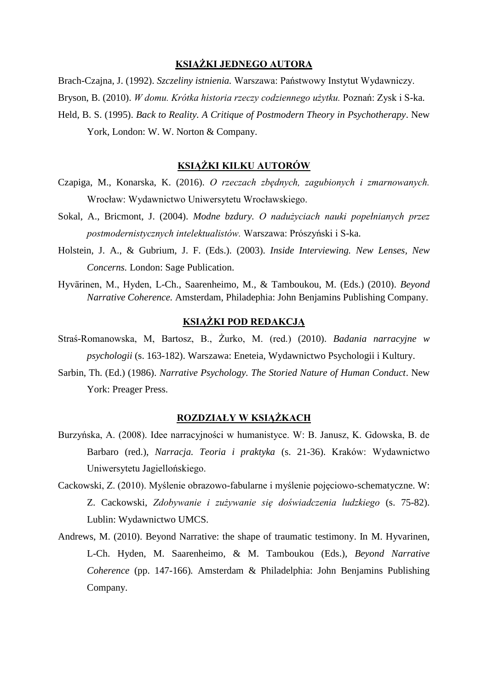### **KSIĄŻKI JEDNEGO AUTORA**

Brach-Czajna, J. (1992). *Szczeliny istnienia.* Warszawa: Państwowy Instytut Wydawniczy. Bryson, B. (2010). *W domu. Krótka historia rzeczy codziennego użytku.* Poznań: Zysk i S-ka. Held, B. S. (1995). *Back to Reality. A Critique of Postmodern Theory in Psychotherapy*. New York, London: W. W. Norton & Company.

#### **KSIĄŻKI KILKU AUTORÓW**

- Czapiga, M., Konarska, K. (2016). *O rzeczach zbędnych, zagubionych i zmarnowanych.*  Wrocław: Wydawnictwo Uniwersytetu Wrocławskiego.
- Sokal, A., Bricmont, J. (2004). *Modne bzdury. O nadużyciach nauki popełnianych przez postmodernistycznych intelektualistów.* Warszawa: Prószyński i S-ka.
- Holstein, J. A., & Gubrium, J. F. (Eds.). (2003). *Inside Interviewing. New Lenses, New Concerns.* London: Sage Publication.
- Hyvärinen, M., Hyden, L-Ch., Saarenheimo, M., & Tamboukou, M. (Eds.) (2010). *Beyond Narrative Coherence.* Amsterdam, Philadephia: John Benjamins Publishing Company.

# **KSIĄŻKI POD REDAKCJĄ**

- Straś-Romanowska, M, Bartosz, B., Żurko, M. (red.) (2010). *Badania narracyjne w psychologii* (s. 163-182). Warszawa: Eneteia, Wydawnictwo Psychologii i Kultury.
- Sarbin, Th. (Ed.) (1986). *Narrative Psychology. The Storied Nature of Human Conduct*. New York: Preager Press.

# **ROZDZIAŁY W KSIĄŻKACH**

- Burzyńska, A. (2008). Idee narracyjności w humanistyce. W: B. Janusz, K. Gdowska, B. de Barbaro (red.), *Narracja. Teoria i praktyka* (s. 21-36). Kraków: Wydawnictwo Uniwersytetu Jagiellońskiego.
- Cackowski, Z. (2010). Myślenie obrazowo-fabularne i myślenie pojęciowo-schematyczne. W: Z. Cackowski, *Zdobywanie i zużywanie się doświadczenia ludzkiego* (s. 75-82). Lublin: Wydawnictwo UMCS.
- Andrews, M. (2010). Beyond Narrative: the shape of traumatic testimony. In M. Hyvarinen, L-Ch. Hyden, M. Saarenheimo, & M. Tamboukou (Eds.), *Beyond Narrative Coherence* (pp. 147-166)*.* Amsterdam & Philadelphia: John Benjamins Publishing Company.